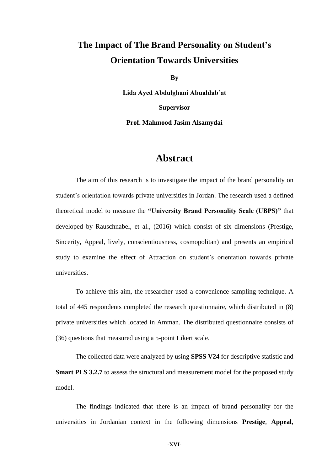## **The Impact of The Brand Personality on Student's Orientation Towards Universities**

**By**

**Lida Ayed Abdulghani Abualdab'at Supervisor**

**Prof. Mahmood Jasim Alsamydai** 

## **Abstract**

The aim of this research is to investigate the impact of the brand personality on student's orientation towards private universities in Jordan. The research used a defined theoretical model to measure the **"University Brand Personality Scale (UBPS)"** that developed by Rauschnabel, et al., (2016) which consist of six dimensions (Prestige, Sincerity, Appeal, lively, conscientiousness, cosmopolitan) and presents an empirical study to examine the effect of Attraction on student's orientation towards private universities.

To achieve this aim, the researcher used a convenience sampling technique. A total of 445 respondents completed the research questionnaire, which distributed in (8) private universities which located in Amman. The distributed questionnaire consists of (36) questions that measured using a 5-point Likert scale.

The collected data were analyzed by using **SPSS V24** for descriptive statistic and **Smart PLS 3.2.7** to assess the structural and measurement model for the proposed study model.

The findings indicated that there is an impact of brand personality for the universities in Jordanian context in the following dimensions **Prestige**, **Appeal**,